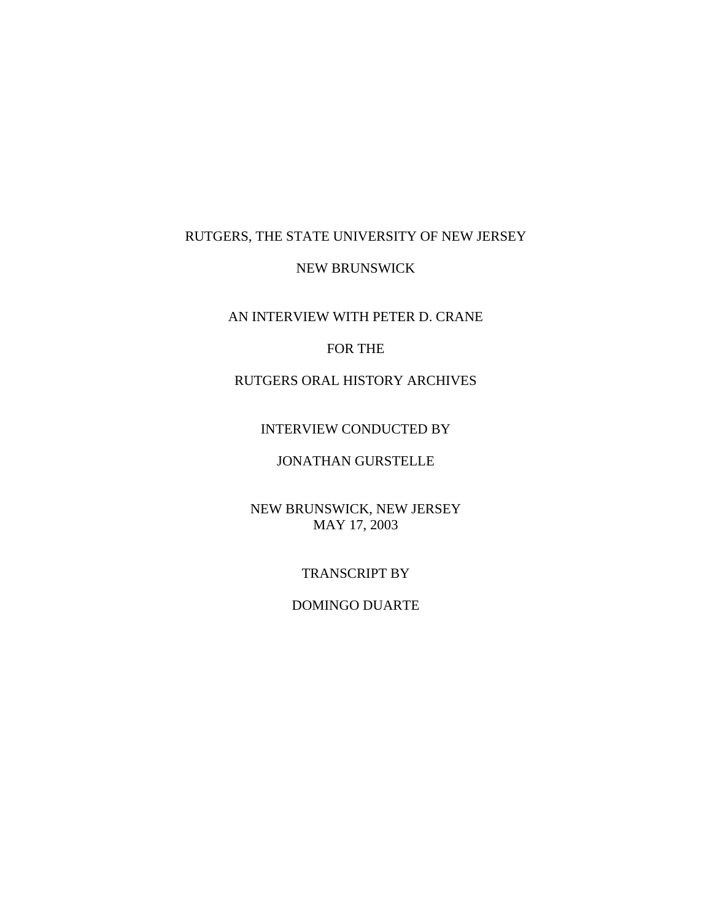## RUTGERS, THE STATE UNIVERSITY OF NEW JERSEY

### NEW BRUNSWICK

AN INTERVIEW WITH PETER D. CRANE

### FOR THE

# RUTGERS ORAL HISTORY ARCHIVES

### INTERVIEW CONDUCTED BY

## JONATHAN GURSTELLE

## NEW BRUNSWICK, NEW JERSEY MAY 17, 2003

#### TRANSCRIPT BY

### DOMINGO DUARTE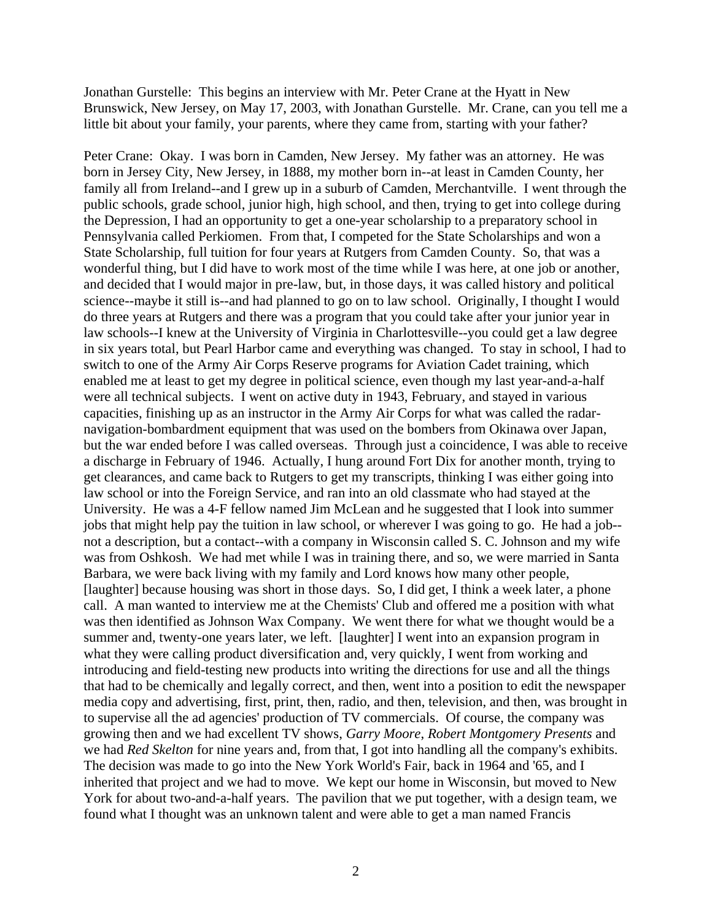Jonathan Gurstelle: This begins an interview with Mr. Peter Crane at the Hyatt in New Brunswick, New Jersey, on May 17, 2003, with Jonathan Gurstelle. Mr. Crane, can you tell me a little bit about your family, your parents, where they came from, starting with your father?

Peter Crane: Okay. I was born in Camden, New Jersey. My father was an attorney. He was born in Jersey City, New Jersey, in 1888, my mother born in--at least in Camden County, her family all from Ireland--and I grew up in a suburb of Camden, Merchantville. I went through the public schools, grade school, junior high, high school, and then, trying to get into college during the Depression, I had an opportunity to get a one-year scholarship to a preparatory school in Pennsylvania called Perkiomen. From that, I competed for the State Scholarships and won a State Scholarship, full tuition for four years at Rutgers from Camden County. So, that was a wonderful thing, but I did have to work most of the time while I was here, at one job or another, and decided that I would major in pre-law, but, in those days, it was called history and political science--maybe it still is--and had planned to go on to law school. Originally, I thought I would do three years at Rutgers and there was a program that you could take after your junior year in law schools--I knew at the University of Virginia in Charlottesville--you could get a law degree in six years total, but Pearl Harbor came and everything was changed. To stay in school, I had to switch to one of the Army Air Corps Reserve programs for Aviation Cadet training, which enabled me at least to get my degree in political science, even though my last year-and-a-half were all technical subjects. I went on active duty in 1943, February, and stayed in various capacities, finishing up as an instructor in the Army Air Corps for what was called the radarnavigation-bombardment equipment that was used on the bombers from Okinawa over Japan, but the war ended before I was called overseas. Through just a coincidence, I was able to receive a discharge in February of 1946. Actually, I hung around Fort Dix for another month, trying to get clearances, and came back to Rutgers to get my transcripts, thinking I was either going into law school or into the Foreign Service, and ran into an old classmate who had stayed at the University. He was a 4-F fellow named Jim McLean and he suggested that I look into summer jobs that might help pay the tuition in law school, or wherever I was going to go. He had a job- not a description, but a contact--with a company in Wisconsin called S. C. Johnson and my wife was from Oshkosh. We had met while I was in training there, and so, we were married in Santa Barbara, we were back living with my family and Lord knows how many other people, [laughter] because housing was short in those days. So, I did get, I think a week later, a phone call. A man wanted to interview me at the Chemists' Club and offered me a position with what was then identified as Johnson Wax Company. We went there for what we thought would be a summer and, twenty-one years later, we left. [laughter] I went into an expansion program in what they were calling product diversification and, very quickly, I went from working and introducing and field-testing new products into writing the directions for use and all the things that had to be chemically and legally correct, and then, went into a position to edit the newspaper media copy and advertising, first, print, then, radio, and then, television, and then, was brought in to supervise all the ad agencies' production of TV commercials. Of course, the company was growing then and we had excellent TV shows, *Garry Moore*, *Robert Montgomery Presents* and we had *Red Skelton* for nine years and, from that, I got into handling all the company's exhibits. The decision was made to go into the New York World's Fair, back in 1964 and '65, and I inherited that project and we had to move. We kept our home in Wisconsin, but moved to New York for about two-and-a-half years. The pavilion that we put together, with a design team, we found what I thought was an unknown talent and were able to get a man named Francis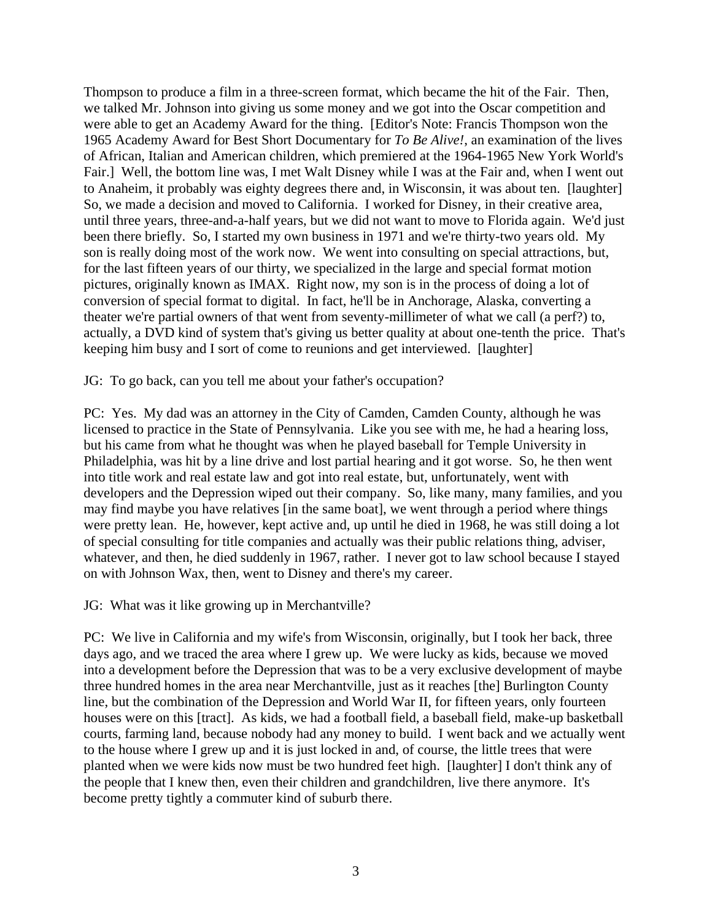Thompson to produce a film in a three-screen format, which became the hit of the Fair. Then, we talked Mr. Johnson into giving us some money and we got into the Oscar competition and were able to get an Academy Award for the thing. [Editor's Note: Francis Thompson won the 1965 Academy Award for Best Short Documentary for *To Be Alive!*, an examination of the lives of African, Italian and American children, which premiered at the 1964-1965 New York World's Fair.] Well, the bottom line was, I met Walt Disney while I was at the Fair and, when I went out to Anaheim, it probably was eighty degrees there and, in Wisconsin, it was about ten. [laughter] So, we made a decision and moved to California. I worked for Disney, in their creative area, until three years, three-and-a-half years, but we did not want to move to Florida again. We'd just been there briefly. So, I started my own business in 1971 and we're thirty-two years old. My son is really doing most of the work now. We went into consulting on special attractions, but, for the last fifteen years of our thirty, we specialized in the large and special format motion pictures, originally known as IMAX. Right now, my son is in the process of doing a lot of conversion of special format to digital. In fact, he'll be in Anchorage, Alaska, converting a theater we're partial owners of that went from seventy-millimeter of what we call (a perf?) to, actually, a DVD kind of system that's giving us better quality at about one-tenth the price. That's keeping him busy and I sort of come to reunions and get interviewed. [laughter]

JG: To go back, can you tell me about your father's occupation?

PC: Yes. My dad was an attorney in the City of Camden, Camden County, although he was licensed to practice in the State of Pennsylvania. Like you see with me, he had a hearing loss, but his came from what he thought was when he played baseball for Temple University in Philadelphia, was hit by a line drive and lost partial hearing and it got worse. So, he then went into title work and real estate law and got into real estate, but, unfortunately, went with developers and the Depression wiped out their company. So, like many, many families, and you may find maybe you have relatives [in the same boat], we went through a period where things were pretty lean. He, however, kept active and, up until he died in 1968, he was still doing a lot of special consulting for title companies and actually was their public relations thing, adviser, whatever, and then, he died suddenly in 1967, rather. I never got to law school because I stayed on with Johnson Wax, then, went to Disney and there's my career.

JG: What was it like growing up in Merchantville?

PC: We live in California and my wife's from Wisconsin, originally, but I took her back, three days ago, and we traced the area where I grew up. We were lucky as kids, because we moved into a development before the Depression that was to be a very exclusive development of maybe three hundred homes in the area near Merchantville, just as it reaches [the] Burlington County line, but the combination of the Depression and World War II, for fifteen years, only fourteen houses were on this [tract]. As kids, we had a football field, a baseball field, make-up basketball courts, farming land, because nobody had any money to build. I went back and we actually went to the house where I grew up and it is just locked in and, of course, the little trees that were planted when we were kids now must be two hundred feet high. [laughter] I don't think any of the people that I knew then, even their children and grandchildren, live there anymore. It's become pretty tightly a commuter kind of suburb there.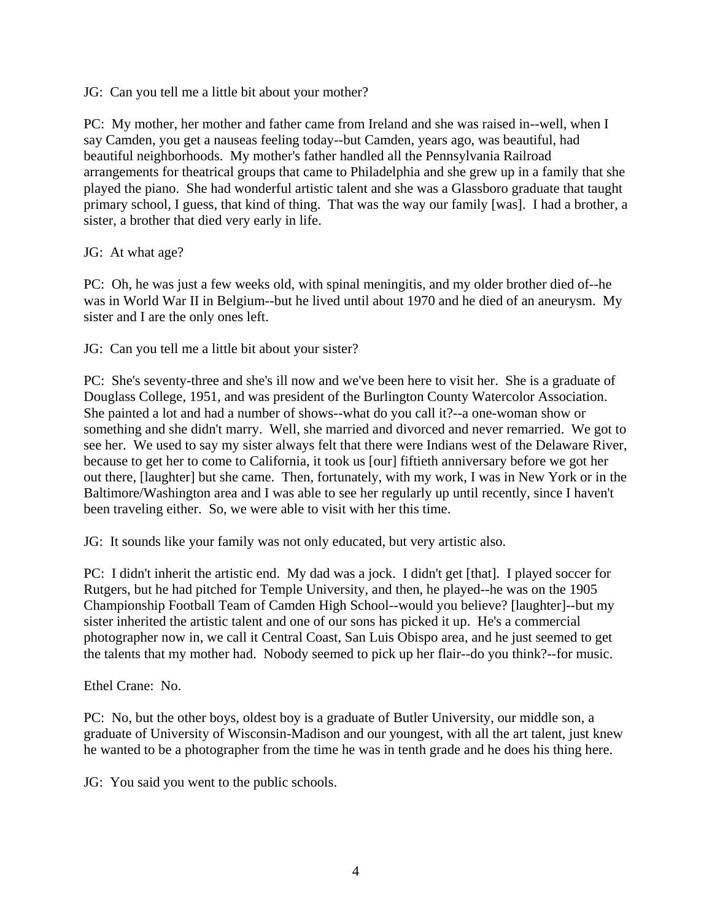JG: Can you tell me a little bit about your mother?

PC: My mother, her mother and father came from Ireland and she was raised in--well, when I say Camden, you get a nauseas feeling today--but Camden, years ago, was beautiful, had beautiful neighborhoods. My mother's father handled all the Pennsylvania Railroad arrangements for theatrical groups that came to Philadelphia and she grew up in a family that she played the piano. She had wonderful artistic talent and she was a Glassboro graduate that taught primary school, I guess, that kind of thing. That was the way our family [was]. I had a brother, a sister, a brother that died very early in life.

JG: At what age?

PC: Oh, he was just a few weeks old, with spinal meningitis, and my older brother died of--he was in World War II in Belgium--but he lived until about 1970 and he died of an aneurysm. My sister and I are the only ones left.

JG: Can you tell me a little bit about your sister?

PC: She's seventy-three and she's ill now and we've been here to visit her. She is a graduate of Douglass College, 1951, and was president of the Burlington County Watercolor Association. She painted a lot and had a number of shows--what do you call it?--a one-woman show or something and she didn't marry. Well, she married and divorced and never remarried. We got to see her. We used to say my sister always felt that there were Indians west of the Delaware River, because to get her to come to California, it took us [our] fiftieth anniversary before we got her out there, [laughter] but she came. Then, fortunately, with my work, I was in New York or in the Baltimore/Washington area and I was able to see her regularly up until recently, since I haven't been traveling either. So, we were able to visit with her this time.

JG: It sounds like your family was not only educated, but very artistic also.

PC: I didn't inherit the artistic end. My dad was a jock. I didn't get [that]. I played soccer for Rutgers, but he had pitched for Temple University, and then, he played--he was on the 1905 Championship Football Team of Camden High School--would you believe? [laughter]--but my sister inherited the artistic talent and one of our sons has picked it up. He's a commercial photographer now in, we call it Central Coast, San Luis Obispo area, and he just seemed to get the talents that my mother had. Nobody seemed to pick up her flair--do you think?--for music.

Ethel Crane: No.

PC: No, but the other boys, oldest boy is a graduate of Butler University, our middle son, a graduate of University of Wisconsin-Madison and our youngest, with all the art talent, just knew he wanted to be a photographer from the time he was in tenth grade and he does his thing here.

JG: You said you went to the public schools.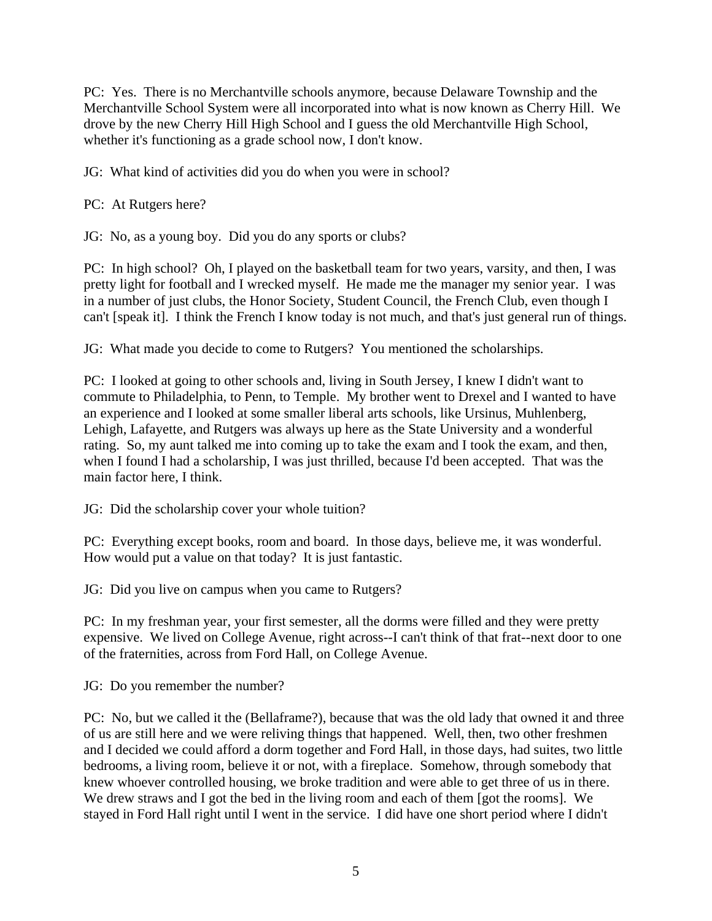PC: Yes. There is no Merchantville schools anymore, because Delaware Township and the Merchantville School System were all incorporated into what is now known as Cherry Hill. We drove by the new Cherry Hill High School and I guess the old Merchantville High School, whether it's functioning as a grade school now, I don't know.

JG: What kind of activities did you do when you were in school?

PC: At Rutgers here?

JG: No, as a young boy. Did you do any sports or clubs?

PC: In high school? Oh, I played on the basketball team for two years, varsity, and then, I was pretty light for football and I wrecked myself. He made me the manager my senior year. I was in a number of just clubs, the Honor Society, Student Council, the French Club, even though I can't [speak it]. I think the French I know today is not much, and that's just general run of things.

JG: What made you decide to come to Rutgers? You mentioned the scholarships.

PC: I looked at going to other schools and, living in South Jersey, I knew I didn't want to commute to Philadelphia, to Penn, to Temple. My brother went to Drexel and I wanted to have an experience and I looked at some smaller liberal arts schools, like Ursinus, Muhlenberg, Lehigh, Lafayette, and Rutgers was always up here as the State University and a wonderful rating. So, my aunt talked me into coming up to take the exam and I took the exam, and then, when I found I had a scholarship, I was just thrilled, because I'd been accepted. That was the main factor here, I think.

JG: Did the scholarship cover your whole tuition?

PC: Everything except books, room and board. In those days, believe me, it was wonderful. How would put a value on that today? It is just fantastic.

JG: Did you live on campus when you came to Rutgers?

PC: In my freshman year, your first semester, all the dorms were filled and they were pretty expensive. We lived on College Avenue, right across--I can't think of that frat--next door to one of the fraternities, across from Ford Hall, on College Avenue.

JG: Do you remember the number?

PC: No, but we called it the (Bellaframe?), because that was the old lady that owned it and three of us are still here and we were reliving things that happened. Well, then, two other freshmen and I decided we could afford a dorm together and Ford Hall, in those days, had suites, two little bedrooms, a living room, believe it or not, with a fireplace. Somehow, through somebody that knew whoever controlled housing, we broke tradition and were able to get three of us in there. We drew straws and I got the bed in the living room and each of them [got the rooms]. We stayed in Ford Hall right until I went in the service. I did have one short period where I didn't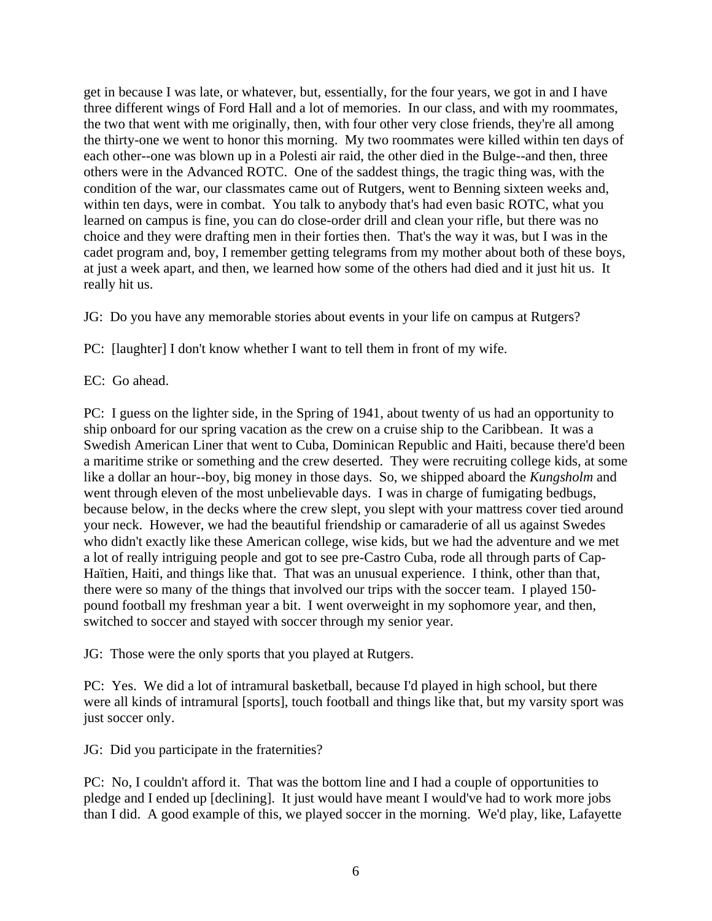get in because I was late, or whatever, but, essentially, for the four years, we got in and I have three different wings of Ford Hall and a lot of memories. In our class, and with my roommates, the two that went with me originally, then, with four other very close friends, they're all among the thirty-one we went to honor this morning. My two roommates were killed within ten days of each other--one was blown up in a Polesti air raid, the other died in the Bulge--and then, three others were in the Advanced ROTC. One of the saddest things, the tragic thing was, with the condition of the war, our classmates came out of Rutgers, went to Benning sixteen weeks and, within ten days, were in combat. You talk to anybody that's had even basic ROTC, what you learned on campus is fine, you can do close-order drill and clean your rifle, but there was no choice and they were drafting men in their forties then. That's the way it was, but I was in the cadet program and, boy, I remember getting telegrams from my mother about both of these boys, at just a week apart, and then, we learned how some of the others had died and it just hit us. It really hit us.

JG: Do you have any memorable stories about events in your life on campus at Rutgers?

PC: [laughter] I don't know whether I want to tell them in front of my wife.

EC: Go ahead.

PC: I guess on the lighter side, in the Spring of 1941, about twenty of us had an opportunity to ship onboard for our spring vacation as the crew on a cruise ship to the Caribbean. It was a Swedish American Liner that went to Cuba, Dominican Republic and Haiti, because there'd been a maritime strike or something and the crew deserted. They were recruiting college kids, at some like a dollar an hour--boy, big money in those days. So, we shipped aboard the *Kungsholm* and went through eleven of the most unbelievable days. I was in charge of fumigating bedbugs, because below, in the decks where the crew slept, you slept with your mattress cover tied around your neck. However, we had the beautiful friendship or camaraderie of all us against Swedes who didn't exactly like these American college, wise kids, but we had the adventure and we met a lot of really intriguing people and got to see pre-Castro Cuba, rode all through parts of Cap-Haïtien, Haiti, and things like that. That was an unusual experience. I think, other than that, there were so many of the things that involved our trips with the soccer team. I played 150 pound football my freshman year a bit. I went overweight in my sophomore year, and then, switched to soccer and stayed with soccer through my senior year.

JG: Those were the only sports that you played at Rutgers.

PC: Yes. We did a lot of intramural basketball, because I'd played in high school, but there were all kinds of intramural [sports], touch football and things like that, but my varsity sport was just soccer only.

JG: Did you participate in the fraternities?

PC: No, I couldn't afford it. That was the bottom line and I had a couple of opportunities to pledge and I ended up [declining]. It just would have meant I would've had to work more jobs than I did. A good example of this, we played soccer in the morning. We'd play, like, Lafayette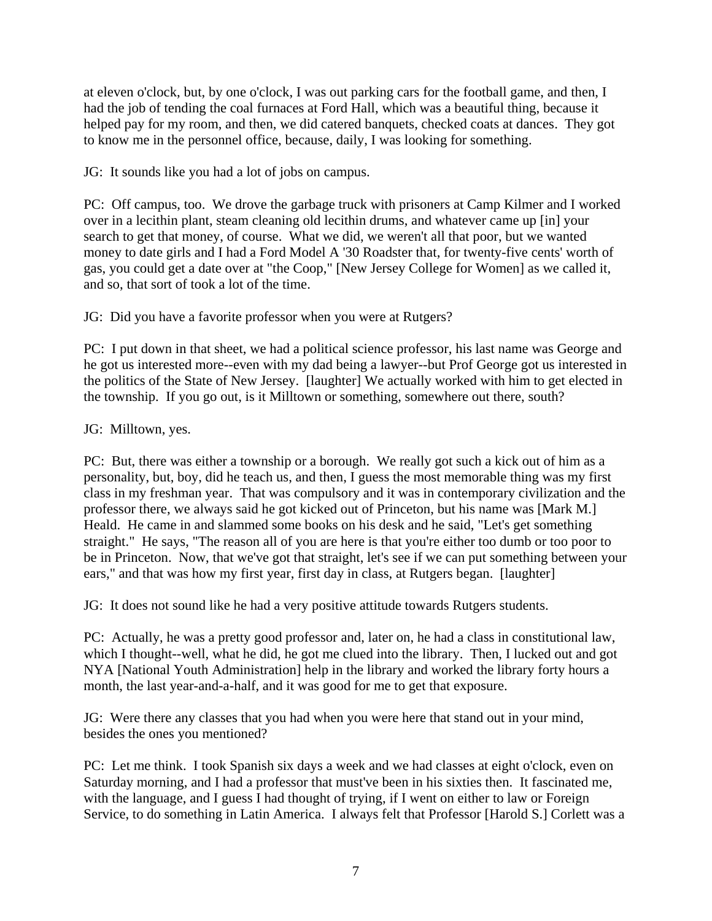at eleven o'clock, but, by one o'clock, I was out parking cars for the football game, and then, I had the job of tending the coal furnaces at Ford Hall, which was a beautiful thing, because it helped pay for my room, and then, we did catered banquets, checked coats at dances. They got to know me in the personnel office, because, daily, I was looking for something.

JG: It sounds like you had a lot of jobs on campus.

PC: Off campus, too. We drove the garbage truck with prisoners at Camp Kilmer and I worked over in a lecithin plant, steam cleaning old lecithin drums, and whatever came up [in] your search to get that money, of course. What we did, we weren't all that poor, but we wanted money to date girls and I had a Ford Model A '30 Roadster that, for twenty-five cents' worth of gas, you could get a date over at "the Coop," [New Jersey College for Women] as we called it, and so, that sort of took a lot of the time.

JG: Did you have a favorite professor when you were at Rutgers?

PC: I put down in that sheet, we had a political science professor, his last name was George and he got us interested more--even with my dad being a lawyer--but Prof George got us interested in the politics of the State of New Jersey. [laughter] We actually worked with him to get elected in the township. If you go out, is it Milltown or something, somewhere out there, south?

JG: Milltown, yes.

PC: But, there was either a township or a borough. We really got such a kick out of him as a personality, but, boy, did he teach us, and then, I guess the most memorable thing was my first class in my freshman year. That was compulsory and it was in contemporary civilization and the professor there, we always said he got kicked out of Princeton, but his name was [Mark M.] Heald. He came in and slammed some books on his desk and he said, "Let's get something straight." He says, "The reason all of you are here is that you're either too dumb or too poor to be in Princeton. Now, that we've got that straight, let's see if we can put something between your ears," and that was how my first year, first day in class, at Rutgers began. [laughter]

JG: It does not sound like he had a very positive attitude towards Rutgers students.

PC: Actually, he was a pretty good professor and, later on, he had a class in constitutional law, which I thought--well, what he did, he got me clued into the library. Then, I lucked out and got NYA [National Youth Administration] help in the library and worked the library forty hours a month, the last year-and-a-half, and it was good for me to get that exposure.

JG: Were there any classes that you had when you were here that stand out in your mind, besides the ones you mentioned?

PC: Let me think. I took Spanish six days a week and we had classes at eight o'clock, even on Saturday morning, and I had a professor that must've been in his sixties then. It fascinated me, with the language, and I guess I had thought of trying, if I went on either to law or Foreign Service, to do something in Latin America. I always felt that Professor [Harold S.] Corlett was a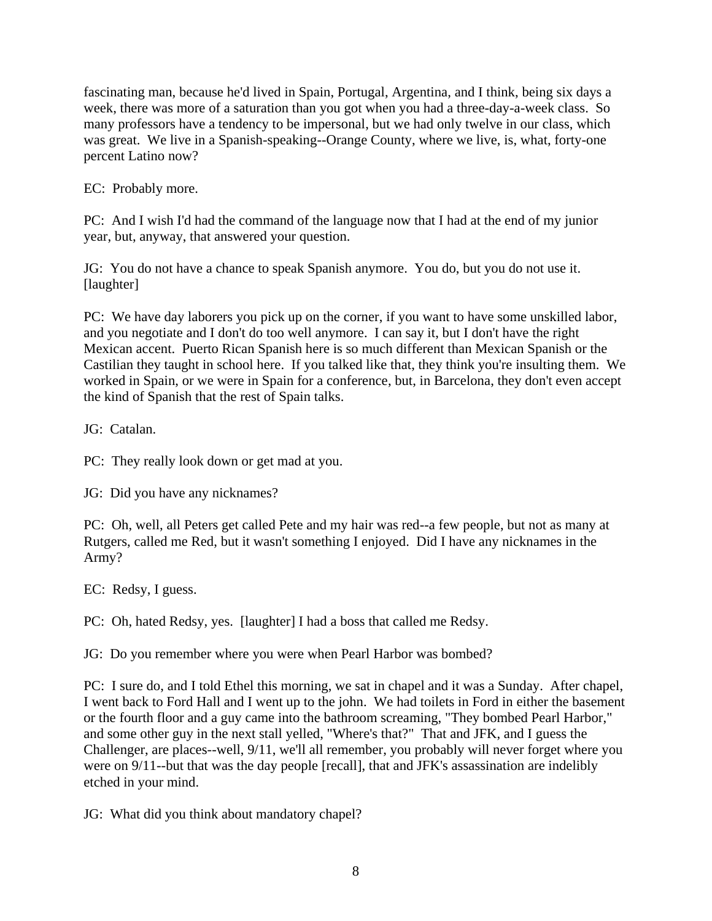fascinating man, because he'd lived in Spain, Portugal, Argentina, and I think, being six days a week, there was more of a saturation than you got when you had a three-day-a-week class. So many professors have a tendency to be impersonal, but we had only twelve in our class, which was great. We live in a Spanish-speaking--Orange County, where we live, is, what, forty-one percent Latino now?

EC: Probably more.

PC: And I wish I'd had the command of the language now that I had at the end of my junior year, but, anyway, that answered your question.

JG: You do not have a chance to speak Spanish anymore. You do, but you do not use it. [laughter]

PC: We have day laborers you pick up on the corner, if you want to have some unskilled labor, and you negotiate and I don't do too well anymore. I can say it, but I don't have the right Mexican accent. Puerto Rican Spanish here is so much different than Mexican Spanish or the Castilian they taught in school here. If you talked like that, they think you're insulting them. We worked in Spain, or we were in Spain for a conference, but, in Barcelona, they don't even accept the kind of Spanish that the rest of Spain talks.

JG: Catalan.

PC: They really look down or get mad at you.

JG: Did you have any nicknames?

PC: Oh, well, all Peters get called Pete and my hair was red--a few people, but not as many at Rutgers, called me Red, but it wasn't something I enjoyed. Did I have any nicknames in the Army?

EC: Redsy, I guess.

PC: Oh, hated Redsy, yes. [laughter] I had a boss that called me Redsy.

JG: Do you remember where you were when Pearl Harbor was bombed?

PC: I sure do, and I told Ethel this morning, we sat in chapel and it was a Sunday. After chapel, I went back to Ford Hall and I went up to the john. We had toilets in Ford in either the basement or the fourth floor and a guy came into the bathroom screaming, "They bombed Pearl Harbor," and some other guy in the next stall yelled, "Where's that?" That and JFK, and I guess the Challenger, are places--well, 9/11, we'll all remember, you probably will never forget where you were on 9/11--but that was the day people [recall], that and JFK's assassination are indelibly etched in your mind.

JG: What did you think about mandatory chapel?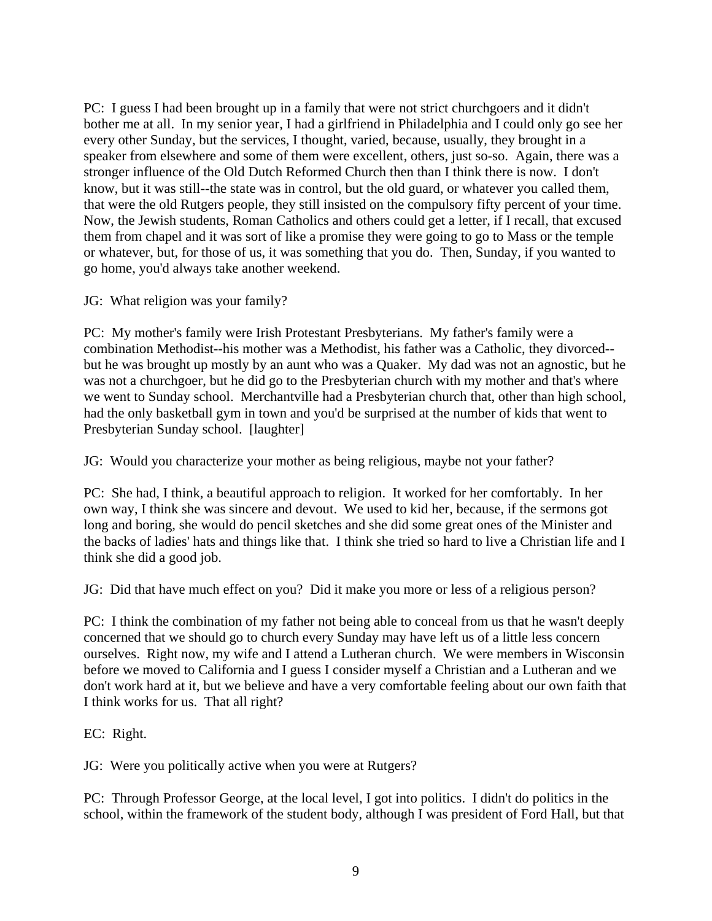PC: I guess I had been brought up in a family that were not strict churchgoers and it didn't bother me at all. In my senior year, I had a girlfriend in Philadelphia and I could only go see her every other Sunday, but the services, I thought, varied, because, usually, they brought in a speaker from elsewhere and some of them were excellent, others, just so-so. Again, there was a stronger influence of the Old Dutch Reformed Church then than I think there is now. I don't know, but it was still--the state was in control, but the old guard, or whatever you called them, that were the old Rutgers people, they still insisted on the compulsory fifty percent of your time. Now, the Jewish students, Roman Catholics and others could get a letter, if I recall, that excused them from chapel and it was sort of like a promise they were going to go to Mass or the temple or whatever, but, for those of us, it was something that you do. Then, Sunday, if you wanted to go home, you'd always take another weekend.

JG: What religion was your family?

PC: My mother's family were Irish Protestant Presbyterians. My father's family were a combination Methodist--his mother was a Methodist, his father was a Catholic, they divorced- but he was brought up mostly by an aunt who was a Quaker. My dad was not an agnostic, but he was not a churchgoer, but he did go to the Presbyterian church with my mother and that's where we went to Sunday school. Merchantville had a Presbyterian church that, other than high school, had the only basketball gym in town and you'd be surprised at the number of kids that went to Presbyterian Sunday school. [laughter]

JG: Would you characterize your mother as being religious, maybe not your father?

PC: She had, I think, a beautiful approach to religion. It worked for her comfortably. In her own way, I think she was sincere and devout. We used to kid her, because, if the sermons got long and boring, she would do pencil sketches and she did some great ones of the Minister and the backs of ladies' hats and things like that. I think she tried so hard to live a Christian life and I think she did a good job.

JG: Did that have much effect on you? Did it make you more or less of a religious person?

PC: I think the combination of my father not being able to conceal from us that he wasn't deeply concerned that we should go to church every Sunday may have left us of a little less concern ourselves. Right now, my wife and I attend a Lutheran church. We were members in Wisconsin before we moved to California and I guess I consider myself a Christian and a Lutheran and we don't work hard at it, but we believe and have a very comfortable feeling about our own faith that I think works for us. That all right?

EC: Right.

JG: Were you politically active when you were at Rutgers?

PC: Through Professor George, at the local level, I got into politics. I didn't do politics in the school, within the framework of the student body, although I was president of Ford Hall, but that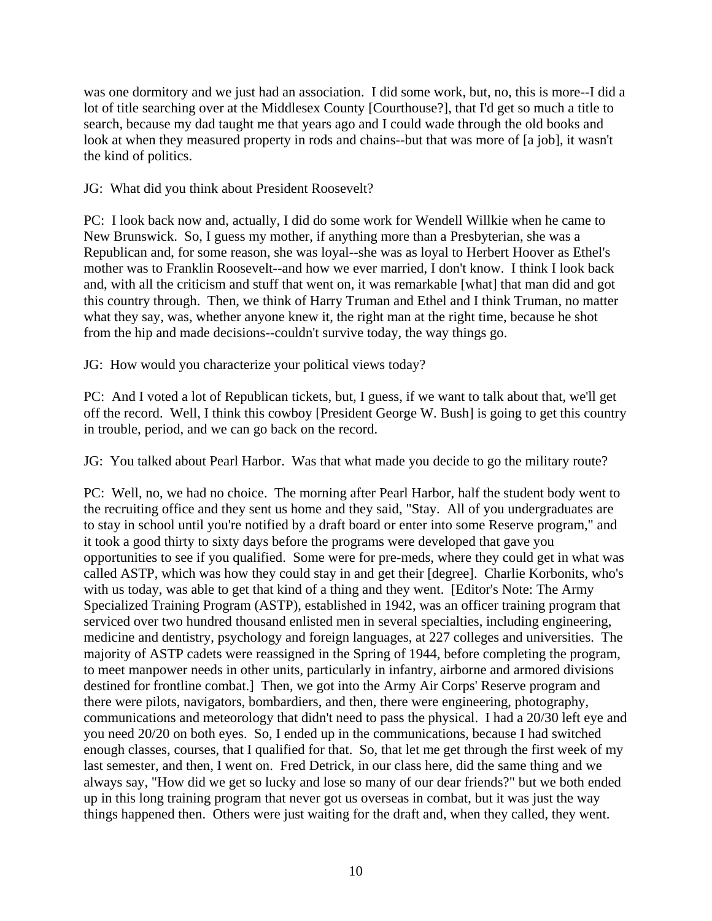was one dormitory and we just had an association. I did some work, but, no, this is more--I did a lot of title searching over at the Middlesex County [Courthouse?], that I'd get so much a title to search, because my dad taught me that years ago and I could wade through the old books and look at when they measured property in rods and chains--but that was more of [a job], it wasn't the kind of politics.

JG: What did you think about President Roosevelt?

PC: I look back now and, actually, I did do some work for Wendell Willkie when he came to New Brunswick. So, I guess my mother, if anything more than a Presbyterian, she was a Republican and, for some reason, she was loyal--she was as loyal to Herbert Hoover as Ethel's mother was to Franklin Roosevelt--and how we ever married, I don't know. I think I look back and, with all the criticism and stuff that went on, it was remarkable [what] that man did and got this country through. Then, we think of Harry Truman and Ethel and I think Truman, no matter what they say, was, whether anyone knew it, the right man at the right time, because he shot from the hip and made decisions--couldn't survive today, the way things go.

JG: How would you characterize your political views today?

PC: And I voted a lot of Republican tickets, but, I guess, if we want to talk about that, we'll get off the record. Well, I think this cowboy [President George W. Bush] is going to get this country in trouble, period, and we can go back on the record.

JG: You talked about Pearl Harbor. Was that what made you decide to go the military route?

PC: Well, no, we had no choice. The morning after Pearl Harbor, half the student body went to the recruiting office and they sent us home and they said, "Stay. All of you undergraduates are to stay in school until you're notified by a draft board or enter into some Reserve program," and it took a good thirty to sixty days before the programs were developed that gave you opportunities to see if you qualified. Some were for pre-meds, where they could get in what was called ASTP, which was how they could stay in and get their [degree]. Charlie Korbonits, who's with us today, was able to get that kind of a thing and they went. [Editor's Note: The Army Specialized Training Program (ASTP), established in 1942, was an officer training program that serviced over two hundred thousand enlisted men in several specialties, including engineering, medicine and dentistry, psychology and foreign languages, at 227 colleges and universities. The majority of ASTP cadets were reassigned in the Spring of 1944, before completing the program, to meet manpower needs in other units, particularly in infantry, airborne and armored divisions destined for frontline combat.] Then, we got into the Army Air Corps' Reserve program and there were pilots, navigators, bombardiers, and then, there were engineering, photography, communications and meteorology that didn't need to pass the physical. I had a 20/30 left eye and you need 20/20 on both eyes. So, I ended up in the communications, because I had switched enough classes, courses, that I qualified for that. So, that let me get through the first week of my last semester, and then, I went on. Fred Detrick, in our class here, did the same thing and we always say, "How did we get so lucky and lose so many of our dear friends?" but we both ended up in this long training program that never got us overseas in combat, but it was just the way things happened then. Others were just waiting for the draft and, when they called, they went.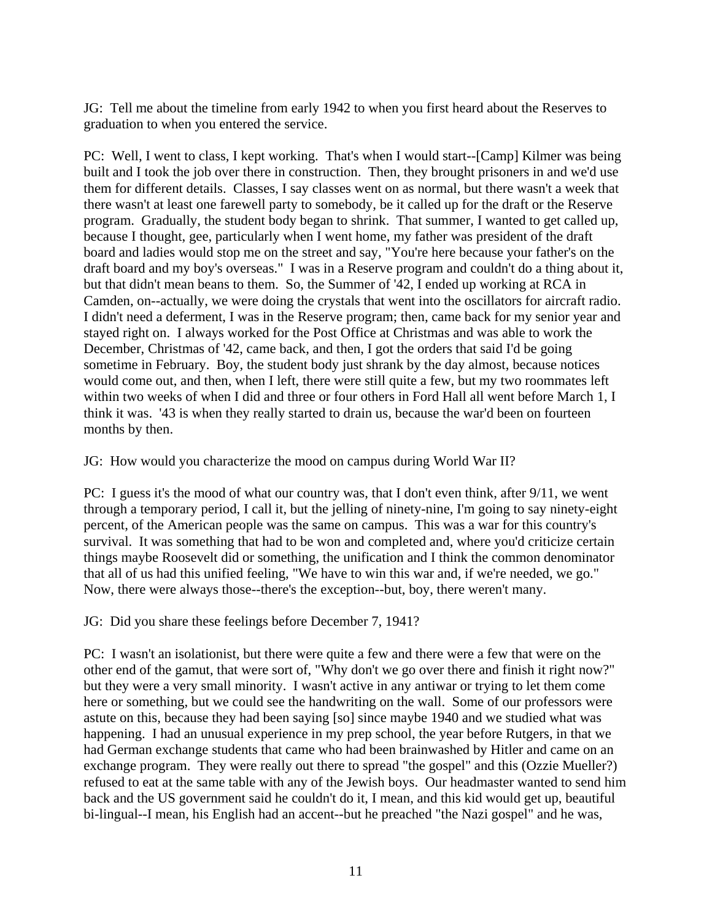JG: Tell me about the timeline from early 1942 to when you first heard about the Reserves to graduation to when you entered the service.

PC: Well, I went to class, I kept working. That's when I would start--[Camp] Kilmer was being built and I took the job over there in construction. Then, they brought prisoners in and we'd use them for different details. Classes, I say classes went on as normal, but there wasn't a week that there wasn't at least one farewell party to somebody, be it called up for the draft or the Reserve program. Gradually, the student body began to shrink. That summer, I wanted to get called up, because I thought, gee, particularly when I went home, my father was president of the draft board and ladies would stop me on the street and say, "You're here because your father's on the draft board and my boy's overseas." I was in a Reserve program and couldn't do a thing about it, but that didn't mean beans to them. So, the Summer of '42, I ended up working at RCA in Camden, on--actually, we were doing the crystals that went into the oscillators for aircraft radio. I didn't need a deferment, I was in the Reserve program; then, came back for my senior year and stayed right on. I always worked for the Post Office at Christmas and was able to work the December, Christmas of '42, came back, and then, I got the orders that said I'd be going sometime in February. Boy, the student body just shrank by the day almost, because notices would come out, and then, when I left, there were still quite a few, but my two roommates left within two weeks of when I did and three or four others in Ford Hall all went before March 1, I think it was. '43 is when they really started to drain us, because the war'd been on fourteen months by then.

JG: How would you characterize the mood on campus during World War II?

PC: I guess it's the mood of what our country was, that I don't even think, after 9/11, we went through a temporary period, I call it, but the jelling of ninety-nine, I'm going to say ninety-eight percent, of the American people was the same on campus. This was a war for this country's survival. It was something that had to be won and completed and, where you'd criticize certain things maybe Roosevelt did or something, the unification and I think the common denominator that all of us had this unified feeling, "We have to win this war and, if we're needed, we go." Now, there were always those--there's the exception--but, boy, there weren't many.

JG: Did you share these feelings before December 7, 1941?

PC: I wasn't an isolationist, but there were quite a few and there were a few that were on the other end of the gamut, that were sort of, "Why don't we go over there and finish it right now?" but they were a very small minority. I wasn't active in any antiwar or trying to let them come here or something, but we could see the handwriting on the wall. Some of our professors were astute on this, because they had been saying [so] since maybe 1940 and we studied what was happening. I had an unusual experience in my prep school, the year before Rutgers, in that we had German exchange students that came who had been brainwashed by Hitler and came on an exchange program. They were really out there to spread "the gospel" and this (Ozzie Mueller?) refused to eat at the same table with any of the Jewish boys. Our headmaster wanted to send him back and the US government said he couldn't do it, I mean, and this kid would get up, beautiful bi-lingual--I mean, his English had an accent--but he preached "the Nazi gospel" and he was,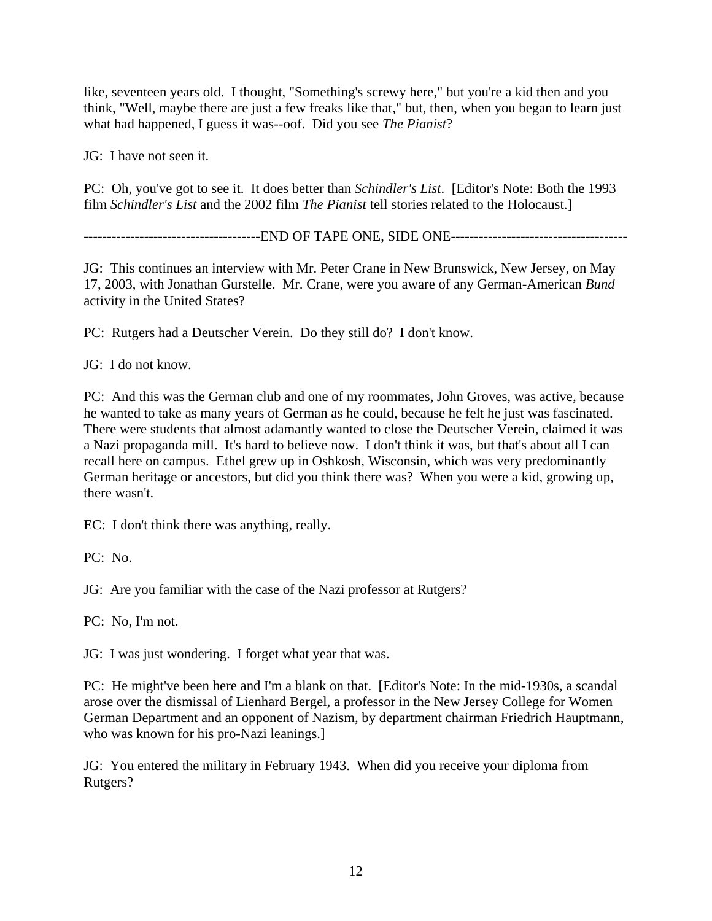like, seventeen years old. I thought, "Something's screwy here," but you're a kid then and you think, "Well, maybe there are just a few freaks like that," but, then, when you began to learn just what had happened, I guess it was--oof. Did you see *The Pianist*?

JG: I have not seen it.

PC: Oh, you've got to see it. It does better than *Schindler's List*. [Editor's Note: Both the 1993 film *Schindler's List* and the 2002 film *The Pianist* tell stories related to the Holocaust.]

--------------------------------------END OF TAPE ONE, SIDE ONE--------------------------------------

JG: This continues an interview with Mr. Peter Crane in New Brunswick, New Jersey, on May 17, 2003, with Jonathan Gurstelle. Mr. Crane, were you aware of any German-American *Bund* activity in the United States?

PC: Rutgers had a Deutscher Verein. Do they still do? I don't know.

JG: I do not know.

PC: And this was the German club and one of my roommates, John Groves, was active, because he wanted to take as many years of German as he could, because he felt he just was fascinated. There were students that almost adamantly wanted to close the Deutscher Verein, claimed it was a Nazi propaganda mill. It's hard to believe now. I don't think it was, but that's about all I can recall here on campus. Ethel grew up in Oshkosh, Wisconsin, which was very predominantly German heritage or ancestors, but did you think there was? When you were a kid, growing up, there wasn't.

EC: I don't think there was anything, really.

PC: No.

JG: Are you familiar with the case of the Nazi professor at Rutgers?

PC: No, I'm not.

JG: I was just wondering. I forget what year that was.

PC: He might've been here and I'm a blank on that. [Editor's Note: In the mid-1930s, a scandal arose over the dismissal of Lienhard Bergel, a professor in the New Jersey College for Women German Department and an opponent of Nazism, by department chairman Friedrich Hauptmann, who was known for his pro-Nazi leanings.]

JG: You entered the military in February 1943. When did you receive your diploma from Rutgers?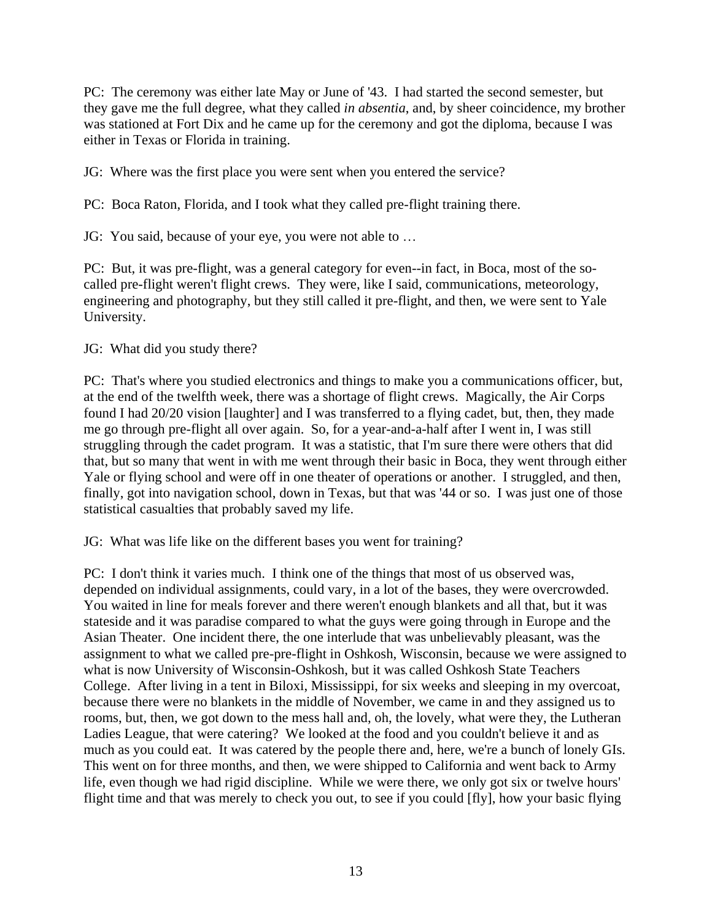PC: The ceremony was either late May or June of '43. I had started the second semester, but they gave me the full degree, what they called *in absentia*, and, by sheer coincidence, my brother was stationed at Fort Dix and he came up for the ceremony and got the diploma, because I was either in Texas or Florida in training.

JG: Where was the first place you were sent when you entered the service?

PC: Boca Raton, Florida, and I took what they called pre-flight training there.

JG: You said, because of your eye, you were not able to …

PC: But, it was pre-flight, was a general category for even--in fact, in Boca, most of the socalled pre-flight weren't flight crews. They were, like I said, communications, meteorology, engineering and photography, but they still called it pre-flight, and then, we were sent to Yale University.

JG: What did you study there?

PC: That's where you studied electronics and things to make you a communications officer, but, at the end of the twelfth week, there was a shortage of flight crews. Magically, the Air Corps found I had 20/20 vision [laughter] and I was transferred to a flying cadet, but, then, they made me go through pre-flight all over again. So, for a year-and-a-half after I went in, I was still struggling through the cadet program. It was a statistic, that I'm sure there were others that did that, but so many that went in with me went through their basic in Boca, they went through either Yale or flying school and were off in one theater of operations or another. I struggled, and then, finally, got into navigation school, down in Texas, but that was '44 or so. I was just one of those statistical casualties that probably saved my life.

JG: What was life like on the different bases you went for training?

PC: I don't think it varies much. I think one of the things that most of us observed was, depended on individual assignments, could vary, in a lot of the bases, they were overcrowded. You waited in line for meals forever and there weren't enough blankets and all that, but it was stateside and it was paradise compared to what the guys were going through in Europe and the Asian Theater. One incident there, the one interlude that was unbelievably pleasant, was the assignment to what we called pre-pre-flight in Oshkosh, Wisconsin, because we were assigned to what is now University of Wisconsin-Oshkosh, but it was called Oshkosh State Teachers College. After living in a tent in Biloxi, Mississippi, for six weeks and sleeping in my overcoat, because there were no blankets in the middle of November, we came in and they assigned us to rooms, but, then, we got down to the mess hall and, oh, the lovely, what were they, the Lutheran Ladies League, that were catering? We looked at the food and you couldn't believe it and as much as you could eat. It was catered by the people there and, here, we're a bunch of lonely GIs. This went on for three months, and then, we were shipped to California and went back to Army life, even though we had rigid discipline. While we were there, we only got six or twelve hours' flight time and that was merely to check you out, to see if you could [fly], how your basic flying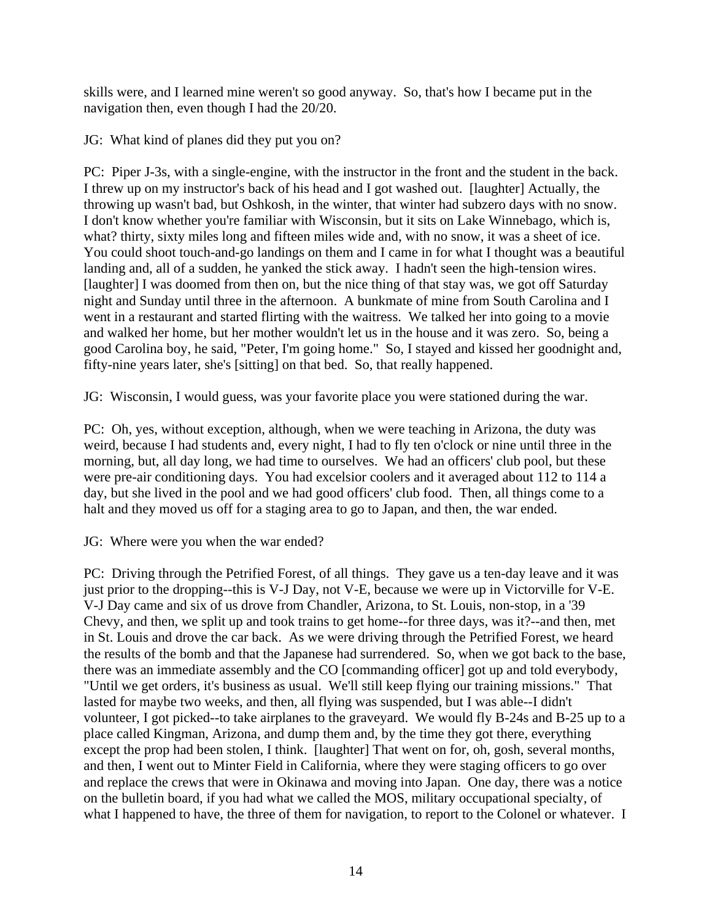skills were, and I learned mine weren't so good anyway. So, that's how I became put in the navigation then, even though I had the 20/20.

JG: What kind of planes did they put you on?

PC: Piper J-3s, with a single-engine, with the instructor in the front and the student in the back. I threw up on my instructor's back of his head and I got washed out. [laughter] Actually, the throwing up wasn't bad, but Oshkosh, in the winter, that winter had subzero days with no snow. I don't know whether you're familiar with Wisconsin, but it sits on Lake Winnebago, which is, what? thirty, sixty miles long and fifteen miles wide and, with no snow, it was a sheet of ice. You could shoot touch-and-go landings on them and I came in for what I thought was a beautiful landing and, all of a sudden, he yanked the stick away. I hadn't seen the high-tension wires. [laughter] I was doomed from then on, but the nice thing of that stay was, we got off Saturday night and Sunday until three in the afternoon. A bunkmate of mine from South Carolina and I went in a restaurant and started flirting with the waitress. We talked her into going to a movie and walked her home, but her mother wouldn't let us in the house and it was zero. So, being a good Carolina boy, he said, "Peter, I'm going home." So, I stayed and kissed her goodnight and, fifty-nine years later, she's [sitting] on that bed. So, that really happened.

JG: Wisconsin, I would guess, was your favorite place you were stationed during the war.

PC: Oh, yes, without exception, although, when we were teaching in Arizona, the duty was weird, because I had students and, every night, I had to fly ten o'clock or nine until three in the morning, but, all day long, we had time to ourselves. We had an officers' club pool, but these were pre-air conditioning days. You had excelsior coolers and it averaged about 112 to 114 a day, but she lived in the pool and we had good officers' club food. Then, all things come to a halt and they moved us off for a staging area to go to Japan, and then, the war ended.

JG: Where were you when the war ended?

PC: Driving through the Petrified Forest, of all things. They gave us a ten-day leave and it was just prior to the dropping--this is V-J Day, not V-E, because we were up in Victorville for V-E. V-J Day came and six of us drove from Chandler, Arizona, to St. Louis, non-stop, in a '39 Chevy, and then, we split up and took trains to get home--for three days, was it?--and then, met in St. Louis and drove the car back. As we were driving through the Petrified Forest, we heard the results of the bomb and that the Japanese had surrendered. So, when we got back to the base, there was an immediate assembly and the CO [commanding officer] got up and told everybody, "Until we get orders, it's business as usual. We'll still keep flying our training missions." That lasted for maybe two weeks, and then, all flying was suspended, but I was able--I didn't volunteer, I got picked--to take airplanes to the graveyard. We would fly B-24s and B-25 up to a place called Kingman, Arizona, and dump them and, by the time they got there, everything except the prop had been stolen, I think. [laughter] That went on for, oh, gosh, several months, and then, I went out to Minter Field in California, where they were staging officers to go over and replace the crews that were in Okinawa and moving into Japan. One day, there was a notice on the bulletin board, if you had what we called the MOS, military occupational specialty, of what I happened to have, the three of them for navigation, to report to the Colonel or whatever. I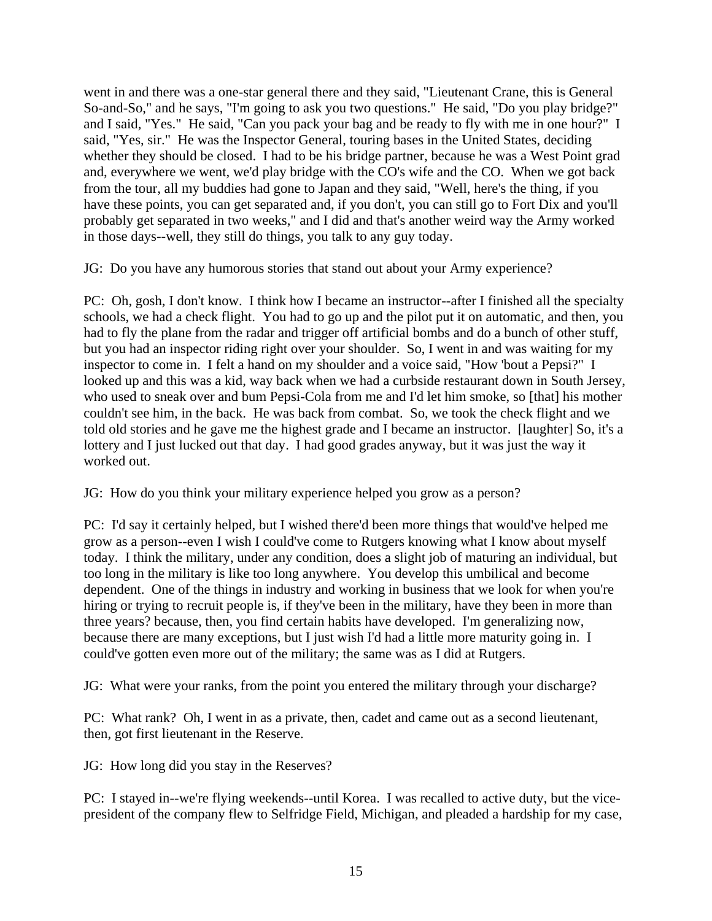went in and there was a one-star general there and they said, "Lieutenant Crane, this is General So-and-So," and he says, "I'm going to ask you two questions." He said, "Do you play bridge?" and I said, "Yes." He said, "Can you pack your bag and be ready to fly with me in one hour?" I said, "Yes, sir." He was the Inspector General, touring bases in the United States, deciding whether they should be closed. I had to be his bridge partner, because he was a West Point grad and, everywhere we went, we'd play bridge with the CO's wife and the CO. When we got back from the tour, all my buddies had gone to Japan and they said, "Well, here's the thing, if you have these points, you can get separated and, if you don't, you can still go to Fort Dix and you'll probably get separated in two weeks," and I did and that's another weird way the Army worked in those days--well, they still do things, you talk to any guy today.

JG: Do you have any humorous stories that stand out about your Army experience?

PC: Oh, gosh, I don't know. I think how I became an instructor--after I finished all the specialty schools, we had a check flight. You had to go up and the pilot put it on automatic, and then, you had to fly the plane from the radar and trigger off artificial bombs and do a bunch of other stuff, but you had an inspector riding right over your shoulder. So, I went in and was waiting for my inspector to come in. I felt a hand on my shoulder and a voice said, "How 'bout a Pepsi?" I looked up and this was a kid, way back when we had a curbside restaurant down in South Jersey, who used to sneak over and bum Pepsi-Cola from me and I'd let him smoke, so [that] his mother couldn't see him, in the back. He was back from combat. So, we took the check flight and we told old stories and he gave me the highest grade and I became an instructor. [laughter] So, it's a lottery and I just lucked out that day. I had good grades anyway, but it was just the way it worked out.

JG: How do you think your military experience helped you grow as a person?

PC: I'd say it certainly helped, but I wished there'd been more things that would've helped me grow as a person--even I wish I could've come to Rutgers knowing what I know about myself today. I think the military, under any condition, does a slight job of maturing an individual, but too long in the military is like too long anywhere. You develop this umbilical and become dependent. One of the things in industry and working in business that we look for when you're hiring or trying to recruit people is, if they've been in the military, have they been in more than three years? because, then, you find certain habits have developed. I'm generalizing now, because there are many exceptions, but I just wish I'd had a little more maturity going in. I could've gotten even more out of the military; the same was as I did at Rutgers.

JG: What were your ranks, from the point you entered the military through your discharge?

PC: What rank? Oh, I went in as a private, then, cadet and came out as a second lieutenant, then, got first lieutenant in the Reserve.

JG: How long did you stay in the Reserves?

PC: I stayed in--we're flying weekends--until Korea. I was recalled to active duty, but the vicepresident of the company flew to Selfridge Field, Michigan, and pleaded a hardship for my case,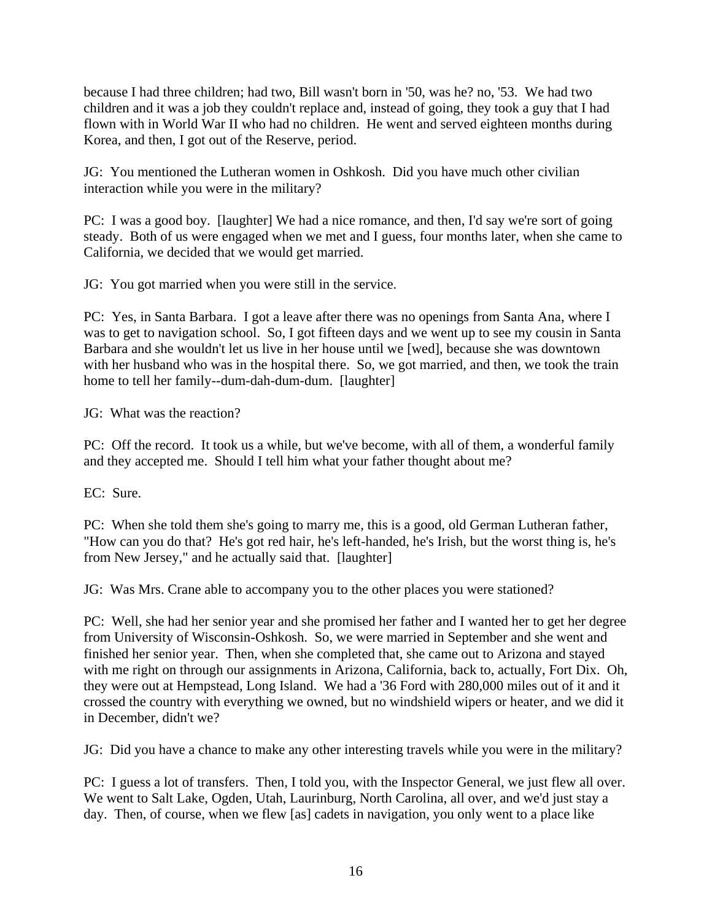because I had three children; had two, Bill wasn't born in '50, was he? no, '53. We had two children and it was a job they couldn't replace and, instead of going, they took a guy that I had flown with in World War II who had no children. He went and served eighteen months during Korea, and then, I got out of the Reserve, period.

JG: You mentioned the Lutheran women in Oshkosh. Did you have much other civilian interaction while you were in the military?

PC: I was a good boy. [laughter] We had a nice romance, and then, I'd say we're sort of going steady. Both of us were engaged when we met and I guess, four months later, when she came to California, we decided that we would get married.

JG: You got married when you were still in the service.

PC: Yes, in Santa Barbara. I got a leave after there was no openings from Santa Ana, where I was to get to navigation school. So, I got fifteen days and we went up to see my cousin in Santa Barbara and she wouldn't let us live in her house until we [wed], because she was downtown with her husband who was in the hospital there. So, we got married, and then, we took the train home to tell her family--dum-dah-dum-dum. [laughter]

JG: What was the reaction?

PC: Off the record. It took us a while, but we've become, with all of them, a wonderful family and they accepted me. Should I tell him what your father thought about me?

EC: Sure.

PC: When she told them she's going to marry me, this is a good, old German Lutheran father, "How can you do that? He's got red hair, he's left-handed, he's Irish, but the worst thing is, he's from New Jersey," and he actually said that. [laughter]

JG: Was Mrs. Crane able to accompany you to the other places you were stationed?

PC: Well, she had her senior year and she promised her father and I wanted her to get her degree from University of Wisconsin-Oshkosh. So, we were married in September and she went and finished her senior year. Then, when she completed that, she came out to Arizona and stayed with me right on through our assignments in Arizona, California, back to, actually, Fort Dix. Oh, they were out at Hempstead, Long Island. We had a '36 Ford with 280,000 miles out of it and it crossed the country with everything we owned, but no windshield wipers or heater, and we did it in December, didn't we?

JG: Did you have a chance to make any other interesting travels while you were in the military?

PC: I guess a lot of transfers. Then, I told you, with the Inspector General, we just flew all over. We went to Salt Lake, Ogden, Utah, Laurinburg, North Carolina, all over, and we'd just stay a day. Then, of course, when we flew [as] cadets in navigation, you only went to a place like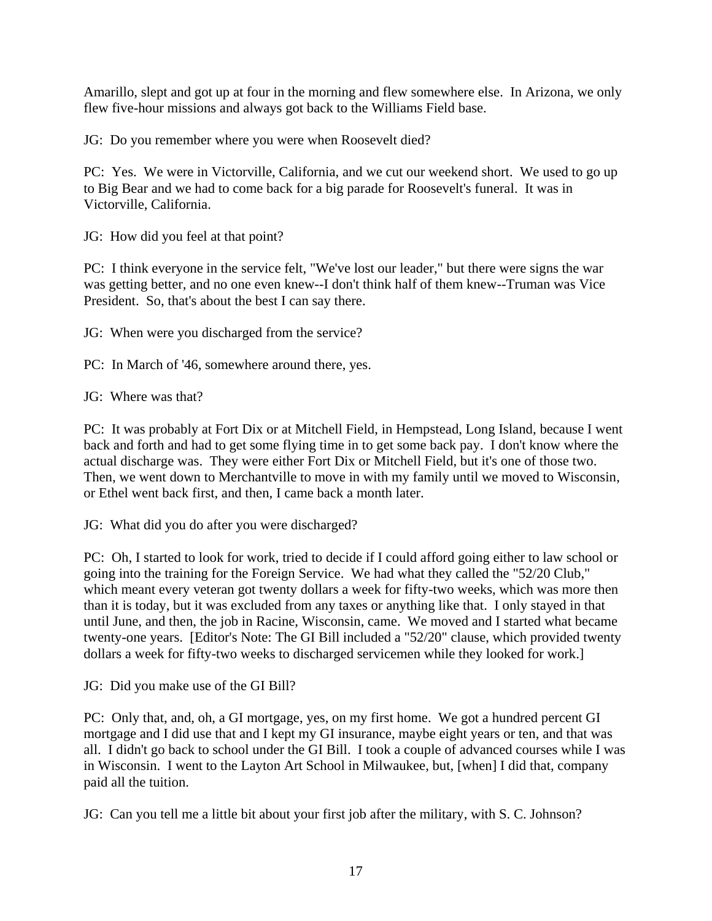Amarillo, slept and got up at four in the morning and flew somewhere else. In Arizona, we only flew five-hour missions and always got back to the Williams Field base.

JG: Do you remember where you were when Roosevelt died?

PC: Yes. We were in Victorville, California, and we cut our weekend short. We used to go up to Big Bear and we had to come back for a big parade for Roosevelt's funeral. It was in Victorville, California.

JG: How did you feel at that point?

PC: I think everyone in the service felt, "We've lost our leader," but there were signs the war was getting better, and no one even knew--I don't think half of them knew--Truman was Vice President. So, that's about the best I can say there.

JG: When were you discharged from the service?

PC: In March of '46, somewhere around there, yes.

JG: Where was that?

PC: It was probably at Fort Dix or at Mitchell Field, in Hempstead, Long Island, because I went back and forth and had to get some flying time in to get some back pay. I don't know where the actual discharge was. They were either Fort Dix or Mitchell Field, but it's one of those two. Then, we went down to Merchantville to move in with my family until we moved to Wisconsin, or Ethel went back first, and then, I came back a month later.

JG: What did you do after you were discharged?

PC: Oh, I started to look for work, tried to decide if I could afford going either to law school or going into the training for the Foreign Service. We had what they called the "52/20 Club," which meant every veteran got twenty dollars a week for fifty-two weeks, which was more then than it is today, but it was excluded from any taxes or anything like that. I only stayed in that until June, and then, the job in Racine, Wisconsin, came. We moved and I started what became twenty-one years. [Editor's Note: The GI Bill included a "52/20" clause, which provided twenty dollars a week for fifty-two weeks to discharged servicemen while they looked for work.]

JG: Did you make use of the GI Bill?

PC: Only that, and, oh, a GI mortgage, yes, on my first home. We got a hundred percent GI mortgage and I did use that and I kept my GI insurance, maybe eight years or ten, and that was all. I didn't go back to school under the GI Bill. I took a couple of advanced courses while I was in Wisconsin. I went to the Layton Art School in Milwaukee, but, [when] I did that, company paid all the tuition.

JG: Can you tell me a little bit about your first job after the military, with S. C. Johnson?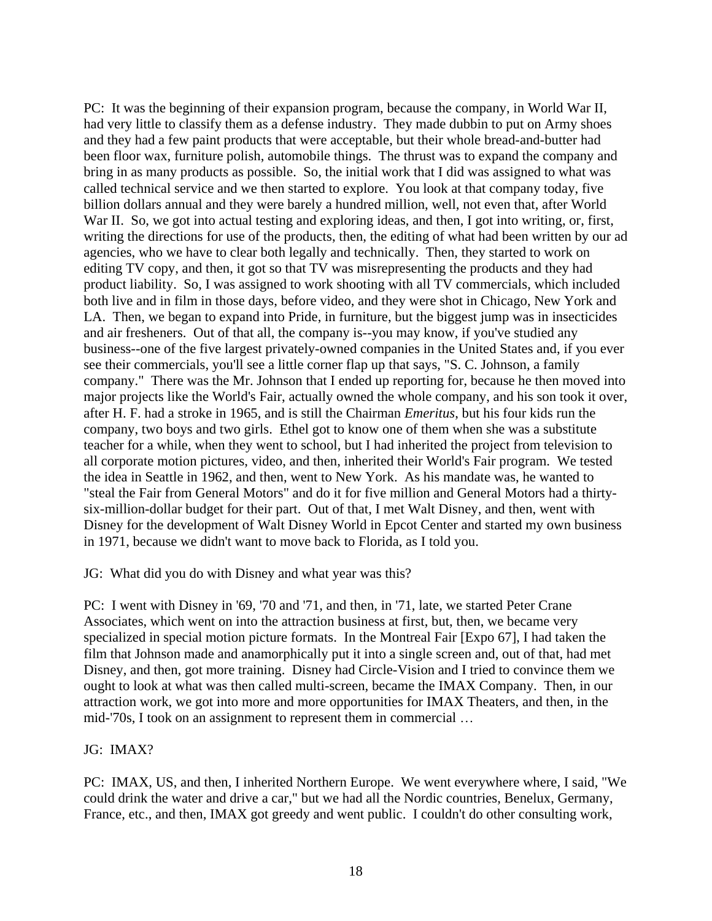PC: It was the beginning of their expansion program, because the company, in World War II, had very little to classify them as a defense industry. They made dubbin to put on Army shoes and they had a few paint products that were acceptable, but their whole bread-and-butter had been floor wax, furniture polish, automobile things. The thrust was to expand the company and bring in as many products as possible. So, the initial work that I did was assigned to what was called technical service and we then started to explore. You look at that company today, five billion dollars annual and they were barely a hundred million, well, not even that, after World War II. So, we got into actual testing and exploring ideas, and then, I got into writing, or, first, writing the directions for use of the products, then, the editing of what had been written by our ad agencies, who we have to clear both legally and technically. Then, they started to work on editing TV copy, and then, it got so that TV was misrepresenting the products and they had product liability. So, I was assigned to work shooting with all TV commercials, which included both live and in film in those days, before video, and they were shot in Chicago, New York and LA. Then, we began to expand into Pride, in furniture, but the biggest jump was in insecticides and air fresheners. Out of that all, the company is--you may know, if you've studied any business--one of the five largest privately-owned companies in the United States and, if you ever see their commercials, you'll see a little corner flap up that says, "S. C. Johnson, a family company." There was the Mr. Johnson that I ended up reporting for, because he then moved into major projects like the World's Fair, actually owned the whole company, and his son took it over, after H. F. had a stroke in 1965, and is still the Chairman *Emeritus*, but his four kids run the company, two boys and two girls. Ethel got to know one of them when she was a substitute teacher for a while, when they went to school, but I had inherited the project from television to all corporate motion pictures, video, and then, inherited their World's Fair program. We tested the idea in Seattle in 1962, and then, went to New York. As his mandate was, he wanted to "steal the Fair from General Motors" and do it for five million and General Motors had a thirtysix-million-dollar budget for their part. Out of that, I met Walt Disney, and then, went with Disney for the development of Walt Disney World in Epcot Center and started my own business in 1971, because we didn't want to move back to Florida, as I told you.

JG: What did you do with Disney and what year was this?

PC: I went with Disney in '69, '70 and '71, and then, in '71, late, we started Peter Crane Associates, which went on into the attraction business at first, but, then, we became very specialized in special motion picture formats. In the Montreal Fair [Expo 67], I had taken the film that Johnson made and anamorphically put it into a single screen and, out of that, had met Disney, and then, got more training. Disney had Circle-Vision and I tried to convince them we ought to look at what was then called multi-screen, became the IMAX Company. Then, in our attraction work, we got into more and more opportunities for IMAX Theaters, and then, in the mid-'70s, I took on an assignment to represent them in commercial …

JG: IMAX?

PC: IMAX, US, and then, I inherited Northern Europe. We went everywhere where, I said, "We could drink the water and drive a car," but we had all the Nordic countries, Benelux, Germany, France, etc., and then, IMAX got greedy and went public. I couldn't do other consulting work,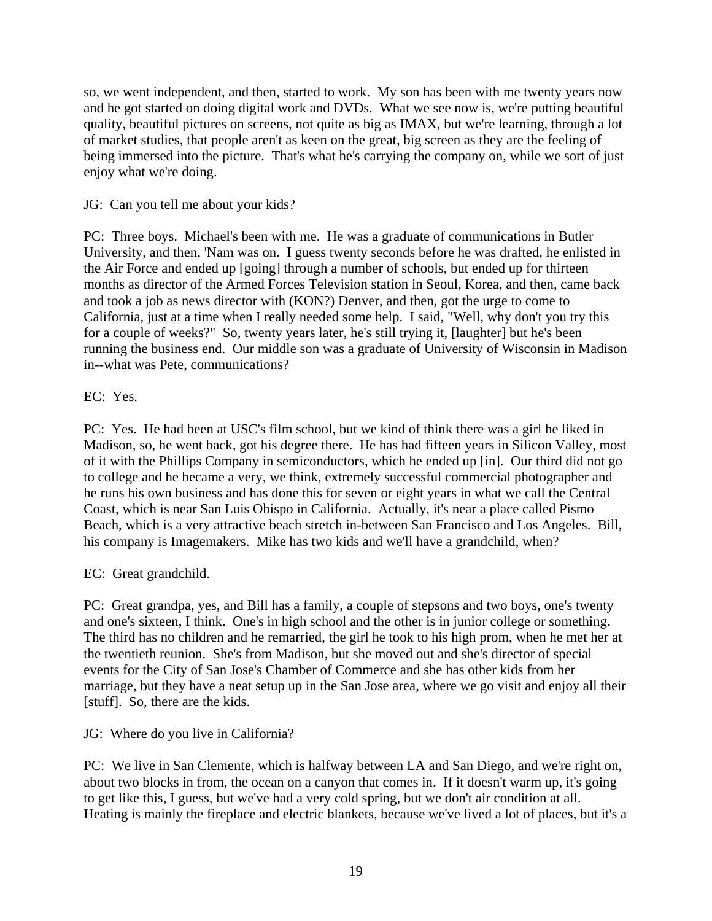so, we went independent, and then, started to work. My son has been with me twenty years now and he got started on doing digital work and DVDs. What we see now is, we're putting beautiful quality, beautiful pictures on screens, not quite as big as IMAX, but we're learning, through a lot of market studies, that people aren't as keen on the great, big screen as they are the feeling of being immersed into the picture. That's what he's carrying the company on, while we sort of just enjoy what we're doing.

## JG: Can you tell me about your kids?

PC: Three boys. Michael's been with me. He was a graduate of communications in Butler University, and then, 'Nam was on. I guess twenty seconds before he was drafted, he enlisted in the Air Force and ended up [going] through a number of schools, but ended up for thirteen months as director of the Armed Forces Television station in Seoul, Korea, and then, came back and took a job as news director with (KON?) Denver, and then, got the urge to come to California, just at a time when I really needed some help. I said, "Well, why don't you try this for a couple of weeks?" So, twenty years later, he's still trying it, [laughter] but he's been running the business end. Our middle son was a graduate of University of Wisconsin in Madison in--what was Pete, communications?

## EC: Yes.

PC: Yes. He had been at USC's film school, but we kind of think there was a girl he liked in Madison, so, he went back, got his degree there. He has had fifteen years in Silicon Valley, most of it with the Phillips Company in semiconductors, which he ended up [in]. Our third did not go to college and he became a very, we think, extremely successful commercial photographer and he runs his own business and has done this for seven or eight years in what we call the Central Coast, which is near San Luis Obispo in California. Actually, it's near a place called Pismo Beach, which is a very attractive beach stretch in-between San Francisco and Los Angeles. Bill, his company is Imagemakers. Mike has two kids and we'll have a grandchild, when?

## EC: Great grandchild.

PC: Great grandpa, yes, and Bill has a family, a couple of stepsons and two boys, one's twenty and one's sixteen, I think. One's in high school and the other is in junior college or something. The third has no children and he remarried, the girl he took to his high prom, when he met her at the twentieth reunion. She's from Madison, but she moved out and she's director of special events for the City of San Jose's Chamber of Commerce and she has other kids from her marriage, but they have a neat setup up in the San Jose area, where we go visit and enjoy all their [stuff]. So, there are the kids.

## JG: Where do you live in California?

PC: We live in San Clemente, which is halfway between LA and San Diego, and we're right on, about two blocks in from, the ocean on a canyon that comes in. If it doesn't warm up, it's going to get like this, I guess, but we've had a very cold spring, but we don't air condition at all. Heating is mainly the fireplace and electric blankets, because we've lived a lot of places, but it's a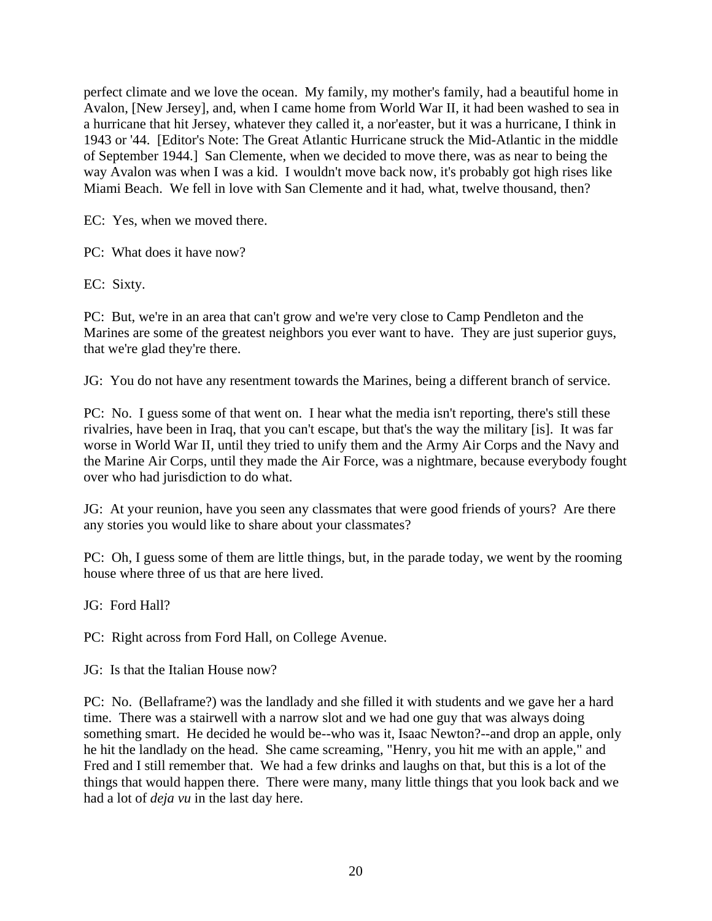perfect climate and we love the ocean. My family, my mother's family, had a beautiful home in Avalon, [New Jersey], and, when I came home from World War II, it had been washed to sea in a hurricane that hit Jersey, whatever they called it, a nor'easter, but it was a hurricane, I think in 1943 or '44. [Editor's Note: The Great Atlantic Hurricane struck the Mid-Atlantic in the middle of September 1944.] San Clemente, when we decided to move there, was as near to being the way Avalon was when I was a kid. I wouldn't move back now, it's probably got high rises like Miami Beach. We fell in love with San Clemente and it had, what, twelve thousand, then?

EC: Yes, when we moved there.

PC: What does it have now?

EC: Sixty.

PC: But, we're in an area that can't grow and we're very close to Camp Pendleton and the Marines are some of the greatest neighbors you ever want to have. They are just superior guys, that we're glad they're there.

JG: You do not have any resentment towards the Marines, being a different branch of service.

PC: No. I guess some of that went on. I hear what the media isn't reporting, there's still these rivalries, have been in Iraq, that you can't escape, but that's the way the military [is]. It was far worse in World War II, until they tried to unify them and the Army Air Corps and the Navy and the Marine Air Corps, until they made the Air Force, was a nightmare, because everybody fought over who had jurisdiction to do what.

JG: At your reunion, have you seen any classmates that were good friends of yours? Are there any stories you would like to share about your classmates?

PC: Oh, I guess some of them are little things, but, in the parade today, we went by the rooming house where three of us that are here lived.

JG: Ford Hall?

PC: Right across from Ford Hall, on College Avenue.

JG: Is that the Italian House now?

PC: No. (Bellaframe?) was the landlady and she filled it with students and we gave her a hard time. There was a stairwell with a narrow slot and we had one guy that was always doing something smart. He decided he would be--who was it, Isaac Newton?--and drop an apple, only he hit the landlady on the head. She came screaming, "Henry, you hit me with an apple," and Fred and I still remember that. We had a few drinks and laughs on that, but this is a lot of the things that would happen there. There were many, many little things that you look back and we had a lot of *deja vu* in the last day here.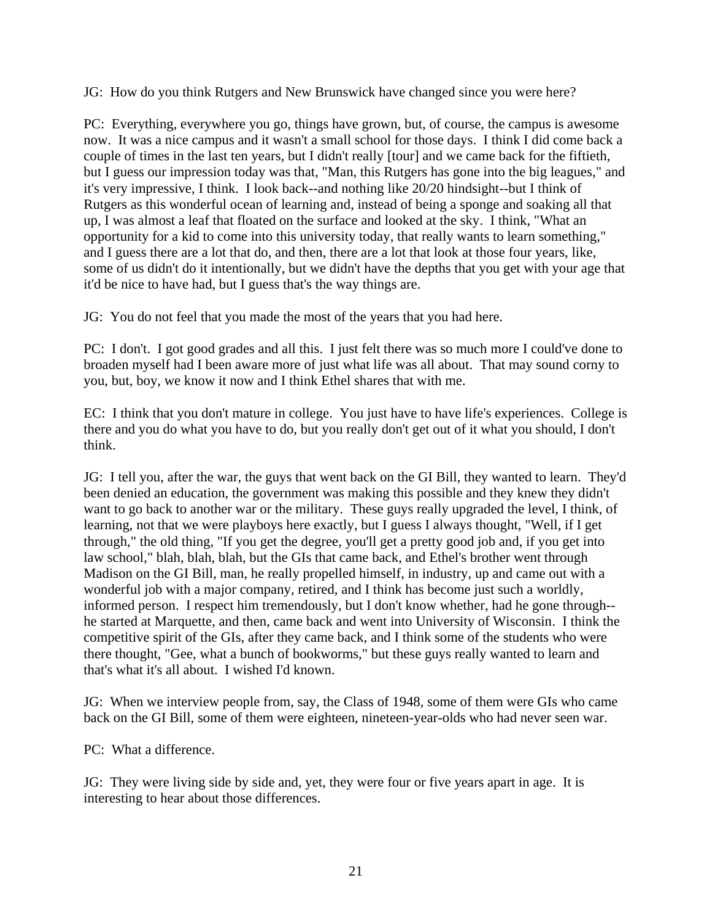JG: How do you think Rutgers and New Brunswick have changed since you were here?

PC: Everything, everywhere you go, things have grown, but, of course, the campus is awesome now. It was a nice campus and it wasn't a small school for those days. I think I did come back a couple of times in the last ten years, but I didn't really [tour] and we came back for the fiftieth, but I guess our impression today was that, "Man, this Rutgers has gone into the big leagues," and it's very impressive, I think. I look back--and nothing like 20/20 hindsight--but I think of Rutgers as this wonderful ocean of learning and, instead of being a sponge and soaking all that up, I was almost a leaf that floated on the surface and looked at the sky. I think, "What an opportunity for a kid to come into this university today, that really wants to learn something," and I guess there are a lot that do, and then, there are a lot that look at those four years, like, some of us didn't do it intentionally, but we didn't have the depths that you get with your age that it'd be nice to have had, but I guess that's the way things are.

JG: You do not feel that you made the most of the years that you had here.

PC: I don't. I got good grades and all this. I just felt there was so much more I could've done to broaden myself had I been aware more of just what life was all about. That may sound corny to you, but, boy, we know it now and I think Ethel shares that with me.

EC: I think that you don't mature in college. You just have to have life's experiences. College is there and you do what you have to do, but you really don't get out of it what you should, I don't think.

JG: I tell you, after the war, the guys that went back on the GI Bill, they wanted to learn. They'd been denied an education, the government was making this possible and they knew they didn't want to go back to another war or the military. These guys really upgraded the level, I think, of learning, not that we were playboys here exactly, but I guess I always thought, "Well, if I get through," the old thing, "If you get the degree, you'll get a pretty good job and, if you get into law school," blah, blah, blah, but the GIs that came back, and Ethel's brother went through Madison on the GI Bill, man, he really propelled himself, in industry, up and came out with a wonderful job with a major company, retired, and I think has become just such a worldly, informed person. I respect him tremendously, but I don't know whether, had he gone through- he started at Marquette, and then, came back and went into University of Wisconsin. I think the competitive spirit of the GIs, after they came back, and I think some of the students who were there thought, "Gee, what a bunch of bookworms," but these guys really wanted to learn and that's what it's all about. I wished I'd known.

JG: When we interview people from, say, the Class of 1948, some of them were GIs who came back on the GI Bill, some of them were eighteen, nineteen-year-olds who had never seen war.

PC: What a difference.

JG: They were living side by side and, yet, they were four or five years apart in age. It is interesting to hear about those differences.